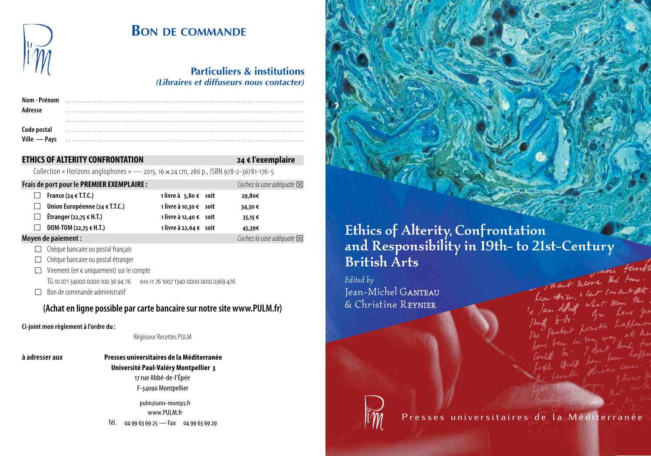

## **Bon de commande**  $\sum_{\substack{u \ n \neq n}}$  BON DE COMMANDE **Communishipping RON DE COMMANDE** aesthetic agenda by carried about the cultural other, the other, the other, the other, the other, the other, the other, the other of

|                                                                                               | DON DE COMMANDE                                                                    |                        |  |                                     |  |
|-----------------------------------------------------------------------------------------------|------------------------------------------------------------------------------------|------------------------|--|-------------------------------------|--|
|                                                                                               | <b>Particuliers &amp; institutions</b><br>(Libraires et diffuseurs nous contacter) |                        |  |                                     |  |
| Nom - Prénom<br>Adresse                                                                       |                                                                                    |                        |  |                                     |  |
| Code postal<br>Ville - Pays                                                                   |                                                                                    |                        |  |                                     |  |
|                                                                                               | <b>ETHICS OF ALTERITY CONFRONTATION</b>                                            |                        |  | 24 € l'exemplaire                   |  |
| Collection « Horizons anglophones » — 2015, 16 $\times$ 24 cm, 286 p., ISBN 978-2-36781-176-5 |                                                                                    |                        |  |                                     |  |
|                                                                                               | Frais de port pour le PREMIER EXEMPLAIRE :                                         |                        |  | Cochez la case adéquate $\boxtimes$ |  |
|                                                                                               | France (24 $\in$ T.T.C.)                                                           | 1 livre à 5,80 € soit  |  | 29,80€                              |  |
|                                                                                               | Union Européenne (24 € T.T.C.)                                                     | 1 livre à 10,30 € soit |  | 34,30€                              |  |
|                                                                                               | Étranger (22,75 € H.T.)                                                            | 1 livre à 12,40 € soit |  | 35,15€                              |  |
|                                                                                               | DOM-TOM (22,75 € H.T.)                                                             | 1 livre à 22,64 € soit |  | 45,39€                              |  |

# **ETHICS OF ALTERITY CONFRONTATION 24 € l'exemplaire**

| Frais de port pour le PREMIER EXEMPLAIRE : | Cochez la case adéquate $\boxtimes$ |        |
|--------------------------------------------|-------------------------------------|--------|
| France (24 $\in$ T.T.C.)                   | 1 livre à 5,80 € soit               | 29,80€ |
| Union Européenne (24 € T.T.C.)             | 1 livre à 10,30 € soit              | 34,30€ |
| Étranger (22,75 € H.T.)<br>$\perp$         | 1 livre à 12,40 € soit              | 35,15€ |
| DOM-TOM (22,75 € H.T.)<br>$\perp$          | 1 livre à 22,64 € soit              | 45,39€ |
| Moyen de paiement :                        | Cochez la case adéquate $\boxtimes$ |        |

- $\Box$  Chèque bancaire ou postal français
- $\Box$  Chèque bancaire ou postal étranger
- $\Box$  Virement (en  $\epsilon$  uniquement) sur le compte
	- TG 10 071 34000 0000 100 36 94 76 iban fr 76 1007 1340 0000 0010 0369 476
- $\Box$  Bon de commande administratif

# **(Achat en ligne possible par carte bancaire sur notre site www.PULM.fr)** *Jean-Michel Ganteau and Christine ReynieR are Professors of English Literature*

**Ci-joint mon règlement à l'ordre du :**  *at the University Paul-Valéry Montpellier 3, France. They are co-editors of the* 

## Régisseur Recettes PULM

**à adresser aux Presses universitaires de la Méditerranée Université Paul-Valéry Montpellier 3** 17 rue Abbé-de-l'Épée F-34090 Montpellier  $\frac{3}{17}$  rue Abbé-de-l'Épée<br>  $F - 34090$  Montpellier<br>
pulm@univ-montp3.fr<br>
www.PULM.fr<br>
Tél. 04 99 63 69 25 — Fax 04 99 63 69 29

pulm@univ-montp3.fr www.PULM.fr Tél. 04 99 63 69 25 — Fax 04 99 63 69 29

# Ethics of Alterity, Confrontation and Responsibility in 19th- to 21st-Century British Arts con Fairly and lecore the time.

*Edited by* Jean-Michel GANTEAU & Christine ReynieR



Presses universitaires de la Méditerranée

hear with, & let concentrate

what keep the what num<br>Lyn have pr honoble happener